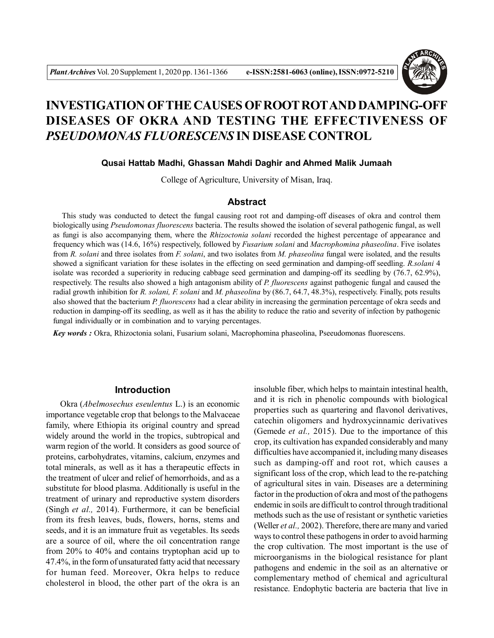

# **INVESTIGATION OFTHE CAUSES OF ROOT ROTAND DAMPING-OFF DISEASES OF OKRA AND TESTING THE EFFECTIVENESS OF** *PSEUDOMONAS FLUORESCENS* **IN DISEASE CONTROL**

#### **Qusai Hattab Madhi, Ghassan Mahdi Daghir and Ahmed Malik Jumaah**

College of Agriculture, University of Misan, Iraq.

#### **Abstract**

 This study was conducted to detect the fungal causing root rot and damping-off diseases of okra and control them biologically using *Pseudomonas fluorescens* bacteria. The results showed the isolation of several pathogenic fungal, as well as fungi is also accompanying them, where the *Rhizoctonia solani* recorded the highest percentage of appearance and frequency which was (14.6, 16%) respectively, followed by *Fusarium solani* and *Macrophomina phaseolina*. Five isolates from *R. solani* and three isolates from *F. solani*, and two isolates from *M. phaseolina* fungal were isolated, and the results showed a significant variation for these isolates in the effecting on seed germination and damping-off seedling. *R.solani* 4 isolate was recorded a superiority in reducing cabbage seed germination and damping-off its seedling by (76.7, 62.9%), respectively. The results also showed a high antagonism ability of *P. fluorescens* against pathogenic fungal and caused the radial growth inhibition for *R. solani, F. solani* and *M. phaseolina* by (86.7, 64.7, 48.3%), respectively. Finally, pots results also showed that the bacterium *P. fluorescens* had a clear ability in increasing the germination percentage of okra seeds and reduction in damping-off its seedling, as well as it has the ability to reduce the ratio and severity of infection by pathogenic fungal individually or in combination and to varying percentages.

*Key words :* Okra, Rhizoctonia solani, Fusarium solani, Macrophomina phaseolina, Pseeudomonas fluorescens.

## **Introduction**

Okra (*Abelmosechus eseulentus* L.) is an economic importance vegetable crop that belongs to the Malvaceae family, where Ethiopia its original country and spread widely around the world in the tropics, subtropical and warm region of the world. It considers as good source of proteins, carbohydrates, vitamins, calcium, enzymes and total minerals, as well as it has a therapeutic effects in the treatment of ulcer and relief of hemorrhoids, and as a substitute for blood plasma. Additionally is useful in the treatment of urinary and reproductive system disorders (Singh *et al.,* 2014). Furthermore, it can be beneficial from its fresh leaves, buds, flowers, horns, stems and seeds, and it is an immature fruit as vegetables. Its seeds are a source of oil, where the oil concentration range from 20% to 40% and contains tryptophan acid up to 47.4%, in the form of unsaturated fatty acid that necessary for human feed. Moreover, Okra helps to reduce cholesterol in blood, the other part of the okra is an

insoluble fiber, which helps to maintain intestinal health, and it is rich in phenolic compounds with biological properties such as quartering and flavonol derivatives, catechin oligomers and hydroxycinnamic derivatives (Gemede *et al.,* 2015). Due to the importance of this crop, its cultivation has expanded considerably and many difficulties have accompanied it, including many diseases such as damping-off and root rot, which causes a significant loss of the crop, which lead to the re-patching of agricultural sites in vain. Diseases are a determining factor in the production of okra and most of the pathogens endemic in soils are difficult to control through traditional methods such as the use of resistant or synthetic varieties (Weller *et al.,* 2002). Therefore, there are many and varied ways to control these pathogens in order to avoid harming the crop cultivation. The most important is the use of microorganisms in the biological resistance for plant pathogens and endemic in the soil as an alternative or complementary method of chemical and agricultural resistance. Endophytic bacteria are bacteria that live in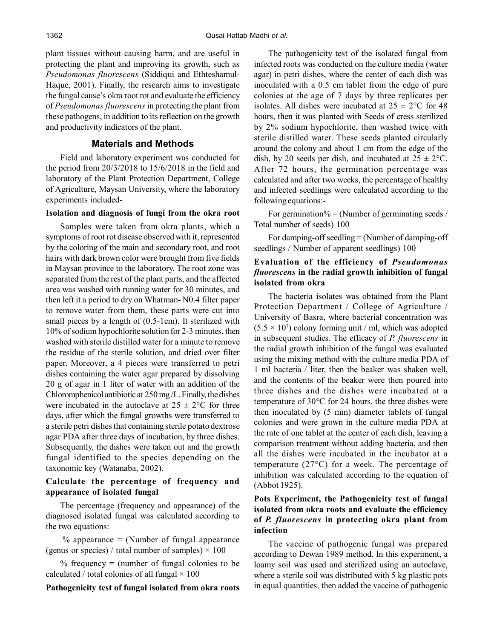plant tissues without causing harm, and are useful in protecting the plant and improving its growth, such as *Pseudomonas fluorescens* (Siddiqui and Ethteshamul-Haque, 2001). Finally, the research aims to investigate the fungal cause's okra root rot and evaluate the efficiency of *Pseudomonas fluorescens* in protecting the plant from these pathogens, in addition to its reflection on the growth and productivity indicators of the plant.

## **Materials and Methods**

Field and laboratory experiment was conducted for the period from 20/3/2018 to 15/6/2018 in the field and laboratory of the Plant Protection Department, College of Agriculture, Maysan University, where the laboratory experiments included-

## **Isolation and diagnosis of fungi from the okra root**

Samples were taken from okra plants, which a symptoms of root rot disease observed with it, represented by the coloring of the main and secondary root, and root hairs with dark brown color were brought from five fields in Maysan province to the laboratory. The root zone was separated from the rest of the plant parts, and the affected area was washed with running water for 30 minutes, and then left it a period to dry on Whatman- N0.4 filter paper to remove water from them, these parts were cut into small pieces by a length of  $(0.5$ -1cm). It sterilized with 10% of sodium hypochlorite solution for 2-3 minutes, then washed with sterile distilled water for a minute to remove the residue of the sterile solution, and dried over filter paper. Moreover, a 4 pieces were transferred to petri dishes containing the water agar prepared by dissolving 20 g of agar in 1 liter of water with an addition of the Chloromphenicol antibiotic at 250 mg /L. Finally, the dishes were incubated in the autoclave at  $25 \pm 2$ °C for three days, after which the fungal growths were transferred to a sterile petri dishes that containing sterile potato dextrose agar PDA after three days of incubation, by three dishes. Subsequently, the dishes were taken out and the growth fungal identified to the species depending on the taxonomic key (Watanaba, 2002).

## **Calculate the percentage of frequency and appearance of isolated fungal**

The percentage (frequency and appearance) of the diagnosed isolated fungal was calculated according to the two equations:

 $%$  appearance = (Number of fungal appearance (genus or species) / total number of samples)  $\times$  100

% frequency  $=$  (number of fungal colonies to be calculated / total colonies of all fungal  $\times$  100

#### **Pathogenicity test of fungal isolated from okra roots**

The pathogenicity test of the isolated fungal from infected roots was conducted on the culture media (water agar) in petri dishes, where the center of each dish was inoculated with a 0.5 cm tablet from the edge of pure colonies at the age of 7 days by three replicates per isolates. All dishes were incubated at  $25 \pm 2^{\circ}\text{C}$  for 48 hours, then it was planted with Seeds of cress sterilized by 2% sodium hypochlorite, then washed twice with sterile distilled water. These seeds planted circularly around the colony and about 1 cm from the edge of the dish, by 20 seeds per dish, and incubated at  $25 \pm 2$ °C. After 72 hours, the germination percentage was calculated and after two weeks, the percentage of healthy and infected seedlings were calculated according to the following equations:-

For germination% = (Number of germinating seeds / Total number of seeds) 100

For damping-off seedling = (Number of damping-off seedlings / Number of apparent seedlings) 100

# **Evaluation of the efficiency of** *Pseudomonas fluorescens* **in the radial growth inhibition of fungal isolated from okra**

The bacteria isolates was obtained from the Plant Protection Department / College of Agriculture / University of Basra, where bacterial concentration was  $(5.5 \times 10^7)$  colony forming unit / ml, which was adopted in subsequent studies. The efficacy of *P. fluorescens* in the radial growth inhibition of the fungal was evaluated using the mixing method with the culture media PDA of 1 ml bacteria / liter, then the beaker was shaken well, and the contents of the beaker were then poured into three dishes and the dishes were incubated at a temperature of 30°C for 24 hours. the three dishes were then inoculated by (5 mm) diameter tablets of fungal colonies and were grown in the culture media PDA at the rate of one tablet at the center of each dish, leaving a comparison treatment without adding bacteria, and then all the dishes were incubated in the incubator at a temperature (27°C) for a week. The percentage of inhibition was calculated according to the equation of (Abbot 1925).

# **Pots Experiment, the Pathogenicity test of fungal isolated from okra roots and evaluate the efficiency of** *P. fluorescens* **in protecting okra plant from infection**

The vaccine of pathogenic fungal was prepared according to Dewan 1989 method. In this experiment, a loamy soil was used and sterilized using an autoclave, where a sterile soil was distributed with 5 kg plastic pots in equal quantities, then added the vaccine of pathogenic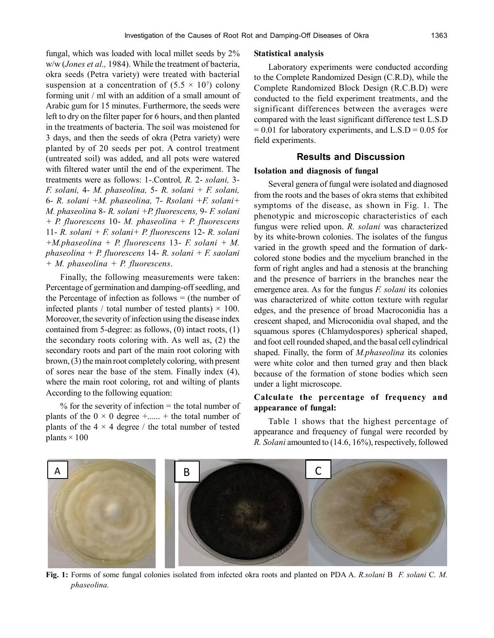fungal, which was loaded with local millet seeds by 2% w/w (*Jones et al.,* 1984). While the treatment of bacteria, okra seeds (Petra variety) were treated with bacterial suspension at a concentration of  $(5.5 \times 10^7)$  colony forming unit / ml with an addition of a small amount of Arabic gum for 15 minutes. Furthermore, the seeds were left to dry on the filter paper for 6 hours, and then planted in the treatments of bacteria. The soil was moistened for 3 days, and then the seeds of okra (Petra variety) were planted by of 20 seeds per pot. A control treatment (untreated soil) was added, and all pots were watered with filtered water until the end of the experiment. The treatments were as follows: 1-.Control*, R.* 2- *solani,* 3- *F. solani,* 4- *M. phaseolina,* 5- *R. solani + F. solani,* 6- *R. solani +M. phaseolina,* 7- *Rsolani +F. solani+ M. phaseolina* 8- *R. solani +P. fluorescens,* 9- *F. solani + P. fluorescens* 10- *M. phaseolina + P. fluorescens* 11- *R. solani + F. solani+ P. fluorescens* 12- *R. solani +M.phaseolina + P. fluorescens* 13- *F. solani + M. phaseolina + P. fluorescens* 14- *R. solani + F. saolani + M. phaseolina + P. fluorescens*.

Finally, the following measurements were taken: Percentage of germination and damping-off seedling, and the Percentage of infection as follows  $=$  (the number of infected plants / total number of tested plants)  $\times$  100. Moreover, the severity of infection using the disease index contained from 5-degree: as follows, (0) intact roots, (1) the secondary roots coloring with. As well as, (2) the secondary roots and part of the main root coloring with brown, (3) the main root completely coloring, with present of sores near the base of the stem. Finally index (4), where the main root coloring, rot and wilting of plants According to the following equation:

 $%$  for the severity of infection = the total number of plants of the  $0 \times 0$  degree +...... + the total number of plants of the  $4 \times 4$  degree / the total number of tested plants  $\times$  100

#### **Statistical analysis**

Laboratory experiments were conducted according to the Complete Randomized Design (C.R.D), while the Complete Randomized Block Design (R.C.B.D) were conducted to the field experiment treatments, and the significant differences between the averages were compared with the least significant difference test L.S.D  $= 0.01$  for laboratory experiments, and L.S.D  $= 0.05$  for field experiments.

# **Results and Discussion**

#### **Isolation and diagnosis of fungal**

Several genera of fungal were isolated and diagnosed from the roots and the bases of okra stems that exhibited symptoms of the disease, as shown in Fig. 1. The phenotypic and microscopic characteristics of each fungus were relied upon. *R. solani* was characterized by its white-brown colonies. The isolates of the fungus varied in the growth speed and the formation of darkcolored stone bodies and the mycelium branched in the form of right angles and had a stenosis at the branching and the presence of barriers in the branches near the emergence area. As for the fungus *F. solani* its colonies was characterized of white cotton texture with regular edges, and the presence of broad Macroconidia has a crescent shaped, and Microconidia oval shaped, and the squamous spores (Chlamydospores) spherical shaped, and foot cell rounded shaped, and the basal cell cylindrical shaped. Finally, the form of *M.phaseolina* its colonies were white color and then turned gray and then black because of the formation of stone bodies which seen under a light microscope.

## **Calculate the percentage of frequency and appearance of fungal:**

Table 1 shows that the highest percentage of appearance and frequency of fungal were recorded by *R. Solani* amounted to (14.6, 16%), respectively, followed



**Fig. 1:** Forms of some fungal colonies isolated from infected okra roots and planted on PDA A. *R.solani* B *F. solani* C*. M. phaseolina.*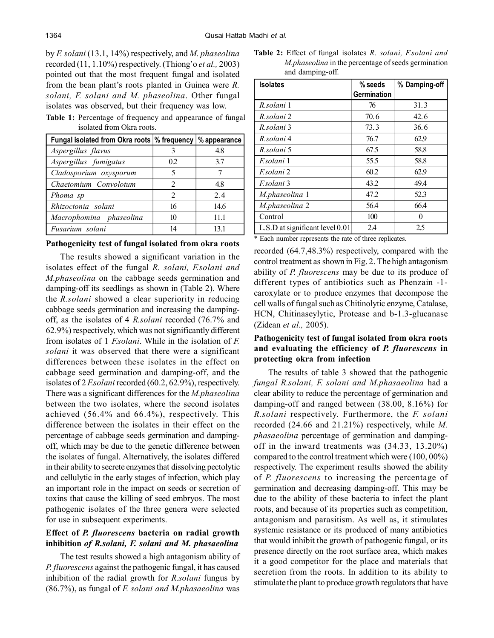by *F. solani* (13.1, 14%) respectively, and *M. phaseolina* recorded (11, 1.10%) respectively. (Thiong'o *et al.,* 2003) pointed out that the most frequent fungal and isolated from the bean plant's roots planted in Guinea were *R. solani, F. solani and M. phaseolina*. Other fungal isolates was observed, but their frequency was low.

**Table 1:** Percentage of frequency and appearance of fungal isolated from Okra roots.

| Fungal isolated from Okra roots \% frequency \% appearance |                |      |
|------------------------------------------------------------|----------------|------|
| Aspergillus flavus                                         |                | 4.8  |
| Aspergillus fumigatus                                      | 0.2            | 3.7  |
| Cladosporium oxysporum                                     | 5              |      |
| Chaetomium Convolotum                                      | 2              | 4.8  |
| Phoma sp                                                   | $\mathfrak{D}$ | 24   |
| Rhizoctonia solani                                         | 16             | 14.6 |
| Macrophomina phaseolina                                    | 10             | 11.1 |
| Fusarium solani                                            | 14             | 131  |

#### **Pathogenicity test of fungal isolated from okra roots**

The results showed a significant variation in the isolates effect of the fungal *R. solani, F.solani and M.phaseolina* on the cabbage seeds germination and damping-off its seedlings as shown in (Table 2). Where the *R.solani* showed a clear superiority in reducing cabbage seeds germination and increasing the dampingoff, as the isolates of 4 *R.solani* recorded (76.7% and 62.9%) respectively, which was not significantly different from isolates of 1 *F.solani*. While in the isolation of *F. solani* it was observed that there were a significant differences between these isolates in the effect on cabbage seed germination and damping-off, and the isolates of 2 *F.solani* recorded (60.2, 62.9%), respectively. There was a significant differences for the *M.phaseolina* between the two isolates, where the second isolates achieved (56.4% and 66.4%), respectively. This difference between the isolates in their effect on the percentage of cabbage seeds germination and dampingoff, which may be due to the genetic difference between the isolates of fungal. Alternatively, the isolates differed in their ability to secrete enzymes that dissolving pectolytic and cellulytic in the early stages of infection, which play an important role in the impact on seeds or secretion of toxins that cause the killing of seed embryos. The most pathogenic isolates of the three genera were selected for use in subsequent experiments.

# **Effect of** *P. fluorescens* **bacteria on radial growth inhibition** *of R.solani, F. solani and M. phasaeolina*

The test results showed a high antagonism ability of *P. fluorescens* against the pathogenic fungal, it has caused inhibition of the radial growth for *R.solani* fungus by (86.7%), as fungal of *F. solani and M.phasaeolina* was

**Table 2:** Effect of fungal isolates *R. solani, F.solani and M.phaseolina* in the percentage of seeds germination and damping-off.

| <b>Isolates</b>                     | $%$ seeds   | % Damping-off |  |
|-------------------------------------|-------------|---------------|--|
|                                     | Germination |               |  |
| R.solani 1                          | 76          | 31.3          |  |
| R solani 2                          | 70.6        | 42.6          |  |
| R solani 3                          | 73.3        | 36.6          |  |
| R solani 4                          | 76.7        | 62.9          |  |
| R solani 5                          | 67.5        | 58.8          |  |
| <i>Esolani</i> 1                    | 55.5        | 58.8          |  |
| F.solani 2                          | 60.2        | 62.9          |  |
| <i>F.solani</i> 3                   | 43.2        | 49.4          |  |
| <i>M.phaseolina</i> 1               | 47.2        | 52.3          |  |
| M.phaseolina 2                      | 56.4        | 66.4          |  |
| Control                             | 100         | 0             |  |
| $L.S.D$ at significant level $0.01$ | 2.4         | 2.5           |  |

\* Each number represents the rate of three replicates.

recorded (64.7,48.3%) respectively, compared with the control treatment as shown in Fig. 2. The high antagonism ability of *P. fluorescens* may be due to its produce of different types of antibiotics such as Phenzain -1 caroxylate or to produce enzymes that decompose the cell walls of fungal such as Chitinolytic enzyme, Catalase, HCN, Chitinaseylytic, Protease and b-1.3-glucanase (Zidean *et al.,* 2005).

# **Pathogenicity test of fungal isolated from okra roots and evaluating the efficiency of** *P. fluorescens* **in protecting okra from infection**

The results of table 3 showed that the pathogenic *fungal R.solani, F. solani and M.phasaeolina* had a clear ability to reduce the percentage of germination and damping-off and ranged between (38.00, 8.16%) for *R.solani* respectively. Furthermore, the *F. solani* recorded (24.66 and 21.21%) respectively, while *M. phasaeolina* percentage of germination and dampingoff in the inward treatments was (34.33, 13.20%) compared to the control treatment which were (100, 00%) respectively. The experiment results showed the ability of *P. fluorescens* to increasing the percentage of germination and decreasing damping-off. This may be due to the ability of these bacteria to infect the plant roots, and because of its properties such as competition, antagonism and parasitism. As well as, it stimulates systemic resistance or its produced of many antibiotics that would inhibit the growth of pathogenic fungal, or its presence directly on the root surface area, which makes it a good competitor for the place and materials that secretion from the roots. In addition to its ability to stimulate the plant to produce growth regulators that have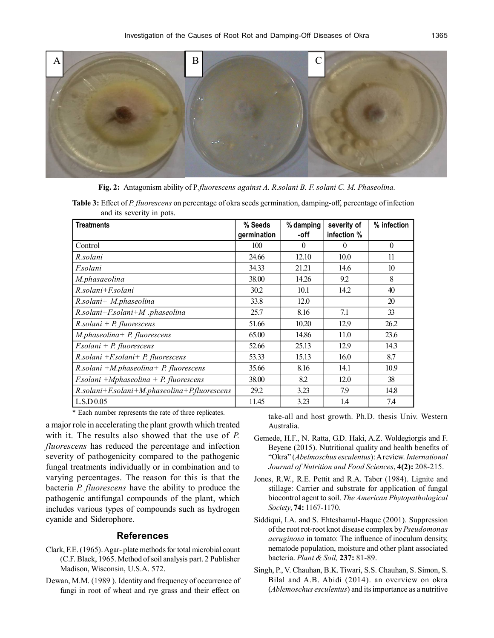

**Fig. 2:** Antagonism ability of P*.fluorescens against A. R.solani B. F. solani C. M. Phaseolina.*

**Table 3:** Effect of *P. fluorescens* on percentage of okra seeds germination, damping-off, percentage of infection and its severity in pots.

| <b>Treatments</b>                                   | % Seeds<br>germination | % damping<br>-off | severity of<br>infection % | % infection  |
|-----------------------------------------------------|------------------------|-------------------|----------------------------|--------------|
| Control                                             | 100                    | $\theta$          | 0                          | $\mathbf{0}$ |
| R.solani                                            | 24.66                  | 12.10             | 10.0                       | 11           |
| <i>F.solani</i>                                     | 34.33                  | 21.21             | 14.6                       | 10           |
| M.phasaeolina                                       | 38.00                  | 14.26             | 9.2                        | 8            |
| R.solani+F.solani                                   | 30.2                   | 10.1              | 14.2                       | 40           |
| $R$ .solani+ M.phaseolina                           | 33.8                   | 12.0              |                            | 20           |
| $R.solani+ F.solani+ M. phaseolina$                 | 25.7                   | 8.16              | 7.1                        | 33           |
| $R$ .solani + P. fluorescens                        | 51.66                  | 10.20             | 12.9                       | 26.2         |
| $M. phaseolina + P. fluorescence$                   | 65.00                  | 14.86             | 11.0                       | 23.6         |
| $Fsolani + P. fluorescence$                         | 52.66                  | 25.13             | 12.9                       | 14.3         |
| $R.solani + F.solani + P.$ fluorescens              | 53.33                  | 15.13             | 16.0                       | 8.7          |
| $R$ .solani +M.phaseolina+ P. fluorescens           | 35.66                  | 8.16              | 14.1                       | 10.9         |
| $Fsolani + Mphaseolina + P. fluorescens$            | 38.00                  | 8.2               | 12.0                       | 38           |
| $R.solani+ F.solani+ M. phaseolina+ P. fluorescens$ | 29.2                   | 3.23              | 7.9                        | 14.8         |
| L.S.D 0.05                                          | 11.45                  | 3.23              | 1.4                        | 7.4          |

\* Each number represents the rate of three replicates.

a major role in accelerating the plant growth which treated with it. The results also showed that the use of *P. fluorescens* has reduced the percentage and infection severity of pathogenicity compared to the pathogenic fungal treatments individually or in combination and to varying percentages. The reason for this is that the bacteria *P. fluorescens* have the ability to produce the pathogenic antifungal compounds of the plant, which includes various types of compounds such as hydrogen cyanide and Siderophore.

## **References**

- Clark, F.E. (1965). Agar- plate methods for total microbial count (C.F. Black, 1965. Method of soil analysis part. 2 Publisher Madison, Wisconsin, U.S.A. 572.
- Dewan, M.M. (1989 ). Identity and frequency of occurrence of fungi in root of wheat and rye grass and their effect on

take-all and host growth. Ph.D. thesis Univ. Western Australia.

- Gemede, H.F., N. Ratta, G.D. Haki, A.Z. Woldegiorgis and F. Beyene (2015). Nutritional quality and health benefits of "Okra" (*Abelmoschus esculentus*): A review. *International Journal of Nutrition and Food Sciences*, **4(2):** 208-215.
- Jones, R.W., R.E. Pettit and R.A. Taber (1984). Lignite and stillage: Carrier and substrate for application of fungal biocontrol agent to soil. *The American Phytopathological Society*, **74:** 1167-1170.
- Siddiqui, I.A. and S. Ehteshamul-Haque (2001). Suppression of the root rot-root knot disease complex by *Pseudomonas aeruginosa* in tomato: The influence of inoculum density, nematode population, moisture and other plant associated bacteria. *Plant & Soil,* **237:** 81-89.
- Singh, P., V. Chauhan, B.K. Tiwari, S.S. Chauhan, S. Simon, S. Bilal and A.B. Abidi (2014). an overview on okra (*Ablemoschus esculentus*) and its importance as a nutritive